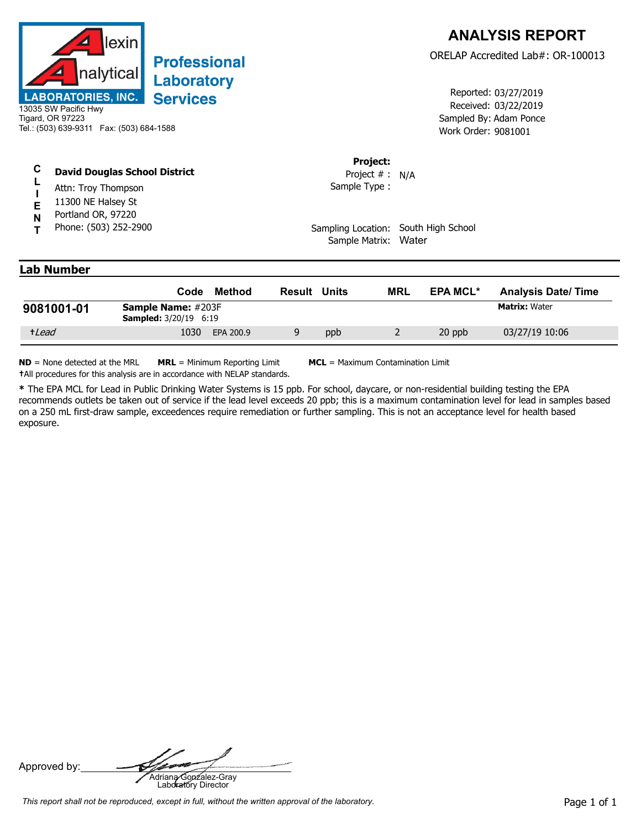

## 13035 SW Pacific Hwy Tigard, OR 97223 Tel.: (503) 639-9311 Fax: (503) 684-1588

## **C David Douglas School District**

- **L I** Attn: Troy Thompson
- **E** 11300 NE Halsey St
- **N** Portland OR, 97220
- **T** Phone: (503) 252-2900

Received: 03/22/2019 Work Order: 9081001 Reported: 03/27/2019 Sampled By: Adam Ponce

## **Project:**

Sample Type : Project # : N/A

Sampling Location: South High School Sample Matrix: Water

## **Lab Number**

|            | Code                                                      | Method    | Result | Units | <b>MRL</b> | <b>EPA MCL*</b> | <b>Analysis Date/Time</b> |
|------------|-----------------------------------------------------------|-----------|--------|-------|------------|-----------------|---------------------------|
| 9081001-01 | <b>Sample Name:</b> #203F<br><b>Sampled:</b> 3/20/19 6:19 |           |        |       |            |                 | <b>Matrix: Water</b>      |
| +Lead      | 1030                                                      | EPA 200.9 |        | ppb   |            | 20 ppb          | 03/27/19 10:06            |

**ND** = None detected at the MRL **MRL** = Minimum Reporting Limit **MCL** = Maximum Contamination Limit **†**All procedures for this analysis are in accordance with NELAP standards.

**\*** The EPA MCL for Lead in Public Drinking Water Systems is 15 ppb. For school, daycare, or non-residential building testing the EPA recommends outlets be taken out of service if the lead level exceeds 20 ppb; this is a maximum contamination level for lead in samples based on a 250 mL first-draw sample, exceedences require remediation or further sampling. This is not an acceptance level for health based exposure.

Approved by: **Adriana Gonzalez-Gray**<br>Adriana Gonzalez-Gray<br>Laboratory Director